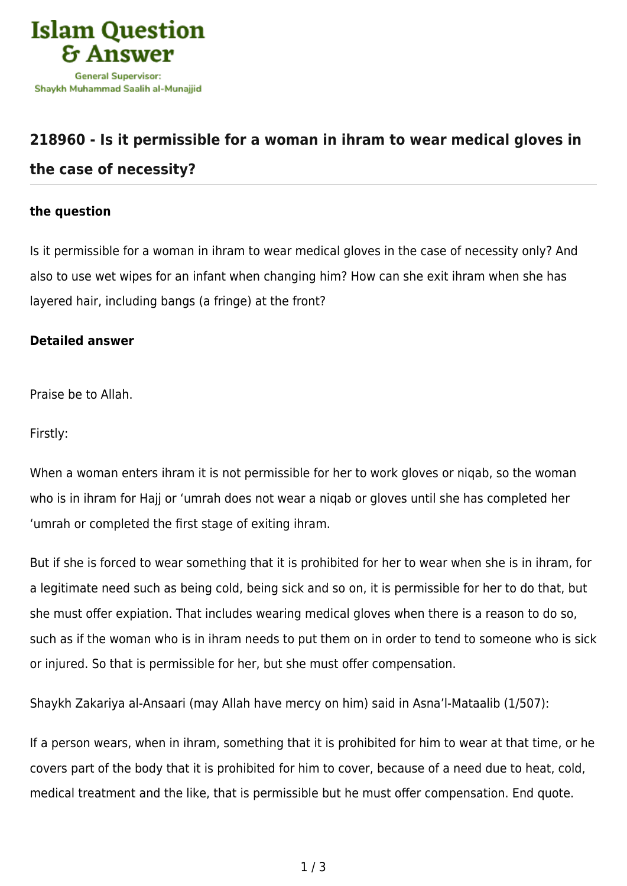

# **[218960 - Is it permissible for a woman in ihram to wear medical gloves in](https://islamqa.com/en/answers/218960/is-it-permissible-for-a-woman-in-ihram-to-wear-medical-gloves-in-the-case-of-necessity) [the case of necessity?](https://islamqa.com/en/answers/218960/is-it-permissible-for-a-woman-in-ihram-to-wear-medical-gloves-in-the-case-of-necessity)**

### **the question**

Is it permissible for a woman in ihram to wear medical gloves in the case of necessity only? And also to use wet wipes for an infant when changing him? How can she exit ihram when she has layered hair, including bangs (a fringe) at the front?

### **Detailed answer**

Praise be to Allah.

Firstly:

When a woman enters ihram it is not permissible for her to work gloves or niqab, so the woman who is in ihram for Hajj or 'umrah does not wear a niqab or gloves until she has completed her 'umrah or completed the first stage of exiting ihram.

But if she is forced to wear something that it is prohibited for her to wear when she is in ihram, for a legitimate need such as being cold, being sick and so on, it is permissible for her to do that, but she must offer expiation. That includes wearing medical gloves when there is a reason to do so, such as if the woman who is in ihram needs to put them on in order to tend to someone who is sick or injured. So that is permissible for her, but she must offer compensation.

Shaykh Zakariya al-Ansaari (may Allah have mercy on him) said in Asna'l-Mataalib (1/507):

If a person wears, when in ihram, something that it is prohibited for him to wear at that time, or he covers part of the body that it is prohibited for him to cover, because of a need due to heat, cold, medical treatment and the like, that is permissible but he must offer compensation. End quote.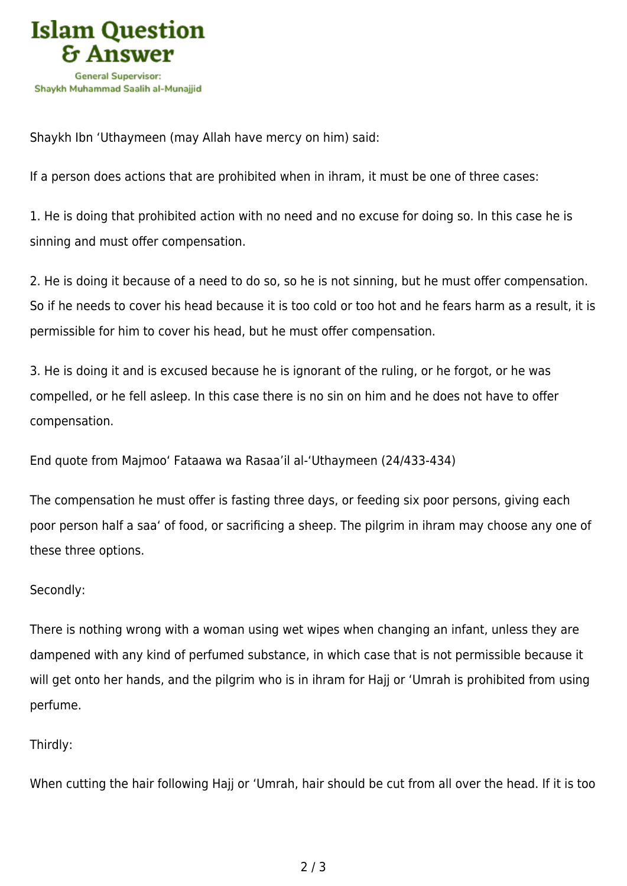

Shaykh Ibn 'Uthaymeen (may Allah have mercy on him) said:

If a person does actions that are prohibited when in ihram, it must be one of three cases:

1. He is doing that prohibited action with no need and no excuse for doing so. In this case he is sinning and must offer compensation.

2. He is doing it because of a need to do so, so he is not sinning, but he must offer compensation. So if he needs to cover his head because it is too cold or too hot and he fears harm as a result, it is permissible for him to cover his head, but he must offer compensation.

3. He is doing it and is excused because he is ignorant of the ruling, or he forgot, or he was compelled, or he fell asleep. In this case there is no sin on him and he does not have to offer compensation.

End quote from Majmoo' Fataawa wa Rasaa'il al-'Uthaymeen (24/433-434)

The compensation he must offer is fasting three days, or feeding six poor persons, giving each poor person half a saa' of food, or sacrificing a sheep. The pilgrim in ihram may choose any one of these three options.

### Secondly:

There is nothing wrong with a woman using wet wipes when changing an infant, unless they are dampened with any kind of perfumed substance, in which case that is not permissible because it will get onto her hands, and the pilgrim who is in ihram for Hajj or 'Umrah is prohibited from using perfume.

## Thirdly:

When cutting the hair following Hajj or 'Umrah, hair should be cut from all over the head. If it is too